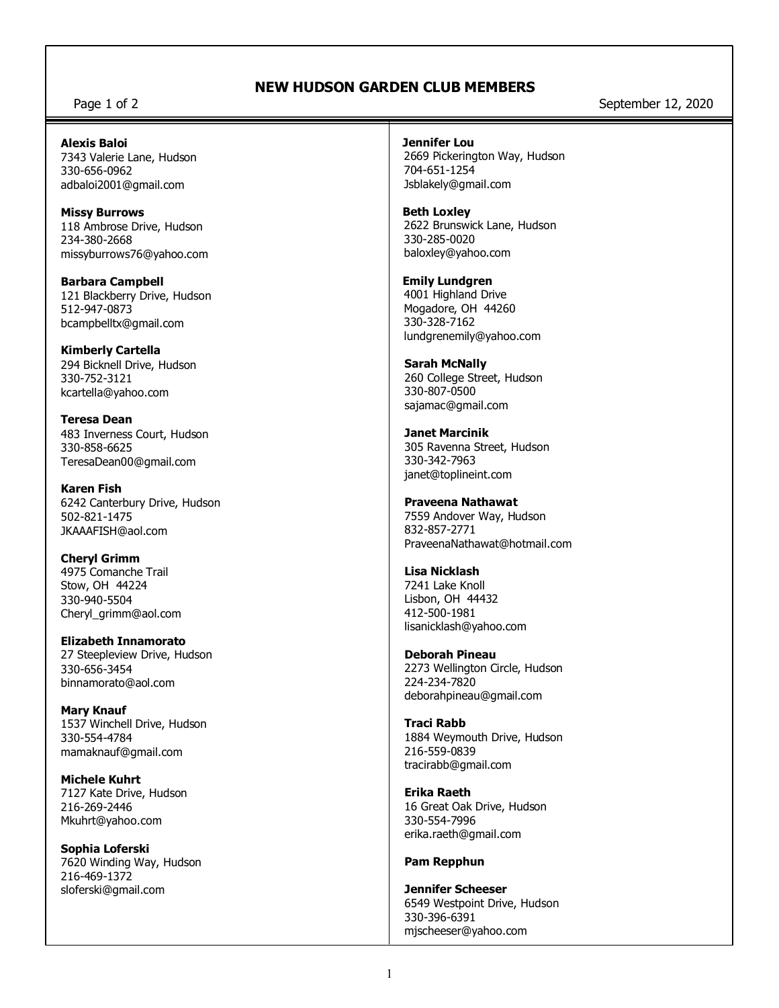## **NEW HUDSON GARDEN CLUB MEMBERS**

Page 1 of 2 September 12, 2020

#### **Alexis Baloi**

7343 Valerie Lane, Hudson 330-656-0962 adbaloi2001@gmail.com

**Missy Burrows** 118 Ambrose Drive, Hudson 234-380-2668 missyburrows76@yahoo.com

**Barbara Campbell** 121 Blackberry Drive, Hudson 512-947-0873 bcampbelltx@gmail.com

**Kimberly Cartella** 294 Bicknell Drive, Hudson 330-752-3121 kcartella@yahoo.com

**Teresa Dean** 483 Inverness Court, Hudson 330-858-6625 TeresaDean00@gmail.com

**Karen Fish** 6242 Canterbury Drive, Hudson 502-821-1475 JKAAAFISH@aol.com

**Cheryl Grimm** 4975 Comanche Trail Stow, OH 44224 330-940-5504 Cheryl\_grimm@aol.com

**Elizabeth Innamorato** 27 Steepleview Drive, Hudson 330-656-3454 binnamorato@aol.com

**Mary Knauf** 1537 Winchell Drive, Hudson 330-554-4784 mamaknauf@gmail.com

**Michele Kuhrt** 7127 Kate Drive, Hudson 216-269-2446 Mkuhrt@yahoo.com

**Sophia Loferski** 7620 Winding Way, Hudson 216-469-1372 sloferski@gmail.com

#### **Jennifer Lou**

 2669 Pickerington Way, Hudson 704-651-1254 Jsblakely@gmail.com

 **Beth Loxley** 2622 Brunswick Lane, Hudson 330-285-0020 baloxley@yahoo.com

 **Emily Lundgren** 4001 Highland Drive Mogadore, OH 44260 330-328-7162

 lundgrenemily@yahoo.com **Sarah McNally** 260 College Street, Hudson

330-807-0500 sajamac@gmail.com

**Janet Marcinik** 305 Ravenna Street, Hudson 330-342-7963 janet@toplineint.com

**Praveena Nathawat** 7559 Andover Way, Hudson 832-857-2771 PraveenaNathawat@hotmail.com

**Lisa Nicklash** 7241 Lake Knoll Lisbon, OH 44432 412-500-1981 lisanicklash@yahoo.com

**Deborah Pineau** 2273 Wellington Circle, Hudson 224-234-7820 deborahpineau@gmail.com

**Traci Rabb** 1884 Weymouth Drive, Hudson 216-559-0839 tracirabb@gmail.com

**Erika Raeth** 16 Great Oak Drive, Hudson 330-554-7996 erika.raeth@gmail.com

### **Pam Repphun**

**Jennifer Scheeser** 6549 Westpoint Drive, Hudson 330-396-6391 mjscheeser@yahoo.com